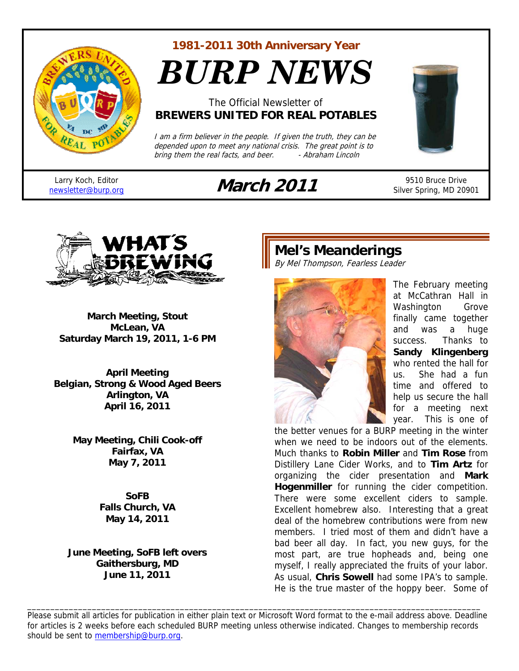

**1981-2011 30th Anniversary Year** 

*BURP NEWS*

### The Official Newsletter of **BREWERS UNITED FOR REAL POTABLES**

I am a firm believer in the people. If given the truth, they can be depended upon to meet any national crisis. The great point is to<br>bring them the real facts, and beer. . . . Abraham Lincoln bring them the real facts, and beer.

Larry Koch, Editor

# Larry Koch, Editor<br>
<u>newsletter@burp.org</u> **March 2011** 9510 Bruce Drive<br>
Silver Spring, MD 209



Silver Spring, MD 20901



**March Meeting, Stout McLean, VA Saturday March 19, 2011, 1-6 PM** 

**April Meeting Belgian, Strong & Wood Aged Beers Arlington, VA April 16, 2011** 

> **May Meeting, Chili Cook-off Fairfax, VA May 7, 2011**

> > **SoFB Falls Church, VA May 14, 2011**

**June Meeting, SoFB left overs Gaithersburg, MD June 11, 2011** 

# **Mel's Meanderings**

By Mel Thompson, Fearless Leader



The February meeting at McCathran Hall in Washington Grove finally came together and was a huge success. Thanks to **Sandy Klingenberg** who rented the hall for us. She had a fun time and offered to help us secure the hall for a meeting next year. This is one of

the better venues for a BURP meeting in the winter when we need to be indoors out of the elements. Much thanks to **Robin Miller** and **Tim Rose** from Distillery Lane Cider Works, and to **Tim Artz** for organizing the cider presentation and **Mark Hogenmiller** for running the cider competition. There were some excellent ciders to sample. Excellent homebrew also. Interesting that a great deal of the homebrew contributions were from new members. I tried most of them and didn't have a bad beer all day. In fact, you new guys, for the most part, are true hopheads and, being one myself, I really appreciated the fruits of your labor. As usual, **Chris Sowell** had some IPA's to sample. He is the true master of the hoppy beer. Some of

Please submit all articles for publication in either plain text or Microsoft Word format to the e-mail address above. Deadline for articles is 2 weeks before each scheduled BURP meeting unless otherwise indicated. Changes to membership records should be sent to membership@burp.org.

\_\_\_\_\_\_\_\_\_\_\_\_\_\_\_\_\_\_\_\_\_\_\_\_\_\_\_\_\_\_\_\_\_\_\_\_\_\_\_\_\_\_\_\_\_\_\_\_\_\_\_\_\_\_\_\_\_\_\_\_\_\_\_\_\_\_\_\_\_\_\_\_\_\_\_\_\_\_\_\_\_\_\_\_\_\_\_\_\_\_\_\_\_\_\_\_\_\_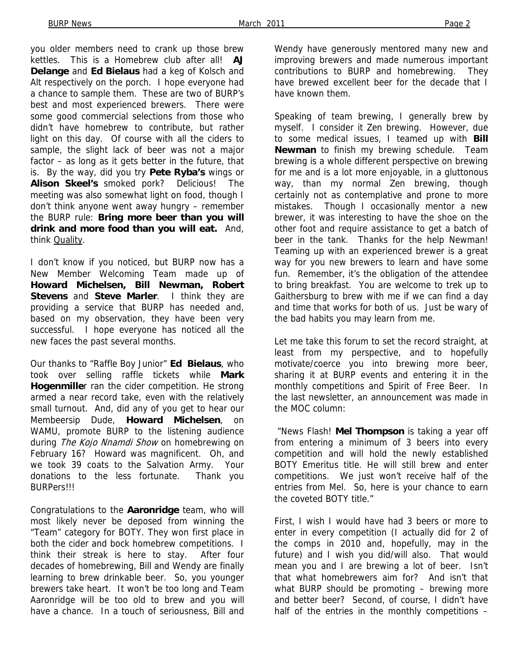you older members need to crank up those brew kettles. This is a Homebrew club after all! **AJ Delange** and **Ed Bielaus** had a keg of Kolsch and Alt respectively on the porch. I hope everyone had a chance to sample them. These are two of BURP's best and most experienced brewers. There were some good commercial selections from those who didn't have homebrew to contribute, but rather light on this day. Of course with all the ciders to sample, the slight lack of beer was not a major factor – as long as it gets better in the future, that is. By the way, did you try **Pete Ryba's** wings or **Alison Skeel's** smoked pork? Delicious! The meeting was also somewhat light on food, though I don't think anyone went away hungry – remember the BURP rule: **Bring more beer than you will drink and more food than you will eat.** And, think Quality.

I don't know if you noticed, but BURP now has a New Member Welcoming Team made up of **Howard Michelsen, Bill Newman, Robert Stevens** and **Steve Marler**. I think they are providing a service that BURP has needed and, based on my observation, they have been very successful. I hope everyone has noticed all the new faces the past several months.

Our thanks to "Raffle Boy Junior" **Ed Bielaus**, who took over selling raffle tickets while **Mark Hogenmille**r ran the cider competition. He strong armed a near record take, even with the relatively small turnout. And, did any of you get to hear our Membeersip Dude, **Howard Michelsen**, on WAMU, promote BURP to the listening audience during The Kojo Nnamdi Show on homebrewing on February 16? Howard was magnificent. Oh, and we took 39 coats to the Salvation Army. Your donations to the less fortunate. Thank you BURPers!!!

Congratulations to the **Aaronridge** team, who will most likely never be deposed from winning the "Team" category for BOTY. They won first place in both the cider and bock homebrew competitions. I think their streak is here to stay. After four decades of homebrewing, Bill and Wendy are finally learning to brew drinkable beer. So, you younger brewers take heart. It won't be too long and Team Aaronridge will be too old to brew and you will have a chance. In a touch of seriousness, Bill and

Wendy have generously mentored many new and improving brewers and made numerous important contributions to BURP and homebrewing. They have brewed excellent beer for the decade that I have known them.

Speaking of team brewing, I generally brew by myself. I consider it Zen brewing. However, due to some medical issues, I teamed up with **Bill Newman** to finish my brewing schedule. Team brewing is a whole different perspective on brewing for me and is a lot more enjoyable, in a gluttonous way, than my normal Zen brewing, though certainly not as contemplative and prone to more mistakes. Though I occasionally mentor a new brewer, it was interesting to have the shoe on the other foot and require assistance to get a batch of beer in the tank. Thanks for the help Newman! Teaming up with an experienced brewer is a great way for you new brewers to learn and have some fun. Remember, it's the obligation of the attendee to bring breakfast. You are welcome to trek up to Gaithersburg to brew with me if we can find a day and time that works for both of us. Just be wary of the bad habits you may learn from me.

Let me take this forum to set the record straight, at least from my perspective, and to hopefully motivate/coerce you into brewing more beer, sharing it at BURP events and entering it in the monthly competitions and Spirit of Free Beer. In the last newsletter, an announcement was made in the MOC column:

 "News Flash! **Mel Thompson** is taking a year off from entering a minimum of 3 beers into every competition and will hold the newly established BOTY Emeritus title. He will still brew and enter competitions. We just won't receive half of the entries from Mel. So, here is your chance to earn the coveted BOTY title."

First, I wish I would have had 3 beers or more to enter in every competition (I actually did for 2 of the comps in 2010 and, hopefully, may in the future) and I wish you did/will also. That would mean you and I are brewing a lot of beer. Isn't that what homebrewers aim for? And isn't that what BURP should be promoting – brewing more and better beer? Second, of course, I didn't have half of the entries in the monthly competitions -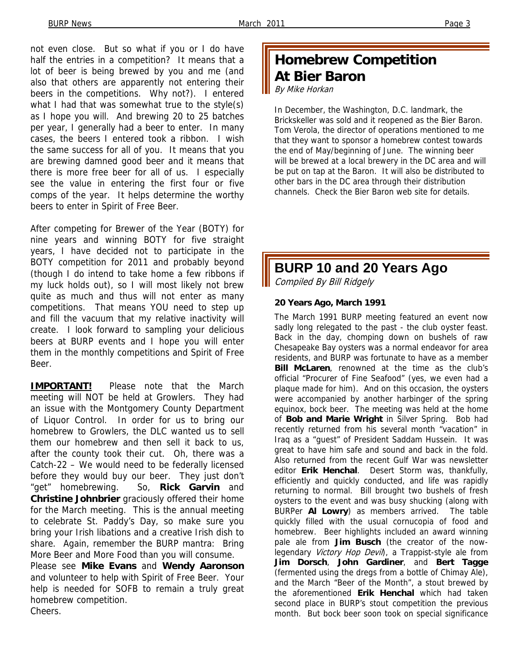not even close. But so what if you or I do have half the entries in a competition? It means that a lot of beer is being brewed by you and me (and also that others are apparently not entering their beers in the competitions. Why not?). I entered what I had that was somewhat true to the style(s) as I hope you will. And brewing 20 to 25 batches per year, I generally had a beer to enter. In many cases, the beers I entered took a ribbon. I wish the same success for all of you. It means that you are brewing damned good beer and it means that there is more free beer for all of us. I especially see the value in entering the first four or five comps of the year. It helps determine the worthy beers to enter in Spirit of Free Beer.

After competing for Brewer of the Year (BOTY) for nine years and winning BOTY for five straight years, I have decided not to participate in the BOTY competition for 2011 and probably beyond (though I do intend to take home a few ribbons if my luck holds out), so I will most likely not brew quite as much and thus will not enter as many competitions. That means YOU need to step up and fill the vacuum that my relative inactivity will create. I look forward to sampling your delicious beers at BURP events and I hope you will enter them in the monthly competitions and Spirit of Free Beer.

**IMPORTANT!** Please note that the March meeting will NOT be held at Growlers. They had an issue with the Montgomery County Department of Liquor Control. In order for us to bring our homebrew to Growlers, the DLC wanted us to sell them our homebrew and then sell it back to us, after the county took their cut. Oh, there was a Catch-22 – We would need to be federally licensed before they would buy our beer. They just don't "get" homebrewing. So, **Rick Garvin** and **Christine Johnbrier** graciously offered their home for the March meeting. This is the annual meeting to celebrate St. Paddy's Day, so make sure you bring your Irish libations and a creative Irish dish to share. Again, remember the BURP mantra: Bring More Beer and More Food than you will consume. Please see **Mike Evans** and **Wendy Aaronson** and volunteer to help with Spirit of Free Beer. Your help is needed for SOFB to remain a truly great homebrew competition. Cheers.

### **Homebrew Competition At Bier Baron**  By Mike Horkan

In December, the Washington, D.C. landmark, the Brickskeller was sold and it reopened as the Bier Baron. Tom Verola, the director of operations mentioned to me that they want to sponsor a homebrew contest towards the end of May/beginning of June. The winning beer will be brewed at a local brewery in the DC area and will be put on tap at the Baron. It will also be distributed to other bars in the DC area through their distribution channels. Check the Bier Baron web site for details.

# **BURP 10 and 20 Years Ago**

Compiled By Bill Ridgely

### **20 Years Ago, March 1991**

The March 1991 BURP meeting featured an event now sadly long relegated to the past - the club oyster feast. Back in the day, chomping down on bushels of raw Chesapeake Bay oysters was a normal endeavor for area residents, and BURP was fortunate to have as a member **Bill McLaren**, renowned at the time as the club's official "Procurer of Fine Seafood" (yes, we even had a plaque made for him). And on this occasion, the oysters were accompanied by another harbinger of the spring equinox, bock beer. The meeting was held at the home of **Bob and Marie Wright** in Silver Spring. Bob had recently returned from his several month "vacation" in Iraq as a "guest" of President Saddam Hussein. It was great to have him safe and sound and back in the fold. Also returned from the recent Gulf War was newsletter editor **Erik Henchal**. Desert Storm was, thankfully, efficiently and quickly conducted, and life was rapidly returning to normal. Bill brought two bushels of fresh oysters to the event and was busy shucking (along with BURPer **Al Lowry**) as members arrived. The table quickly filled with the usual cornucopia of food and homebrew. Beer highlights included an award winning pale ale from **Jim Busch** (the creator of the nowlegendary Victory Hop Devil), a Trappist-style ale from **Jim Dorsch**, **John Gardiner**, and **Bert Tagge**  (fermented using the dregs from a bottle of Chimay Ale), and the March "Beer of the Month", a stout brewed by the aforementioned **Erik Henchal** which had taken second place in BURP's stout competition the previous month. But bock beer soon took on special significance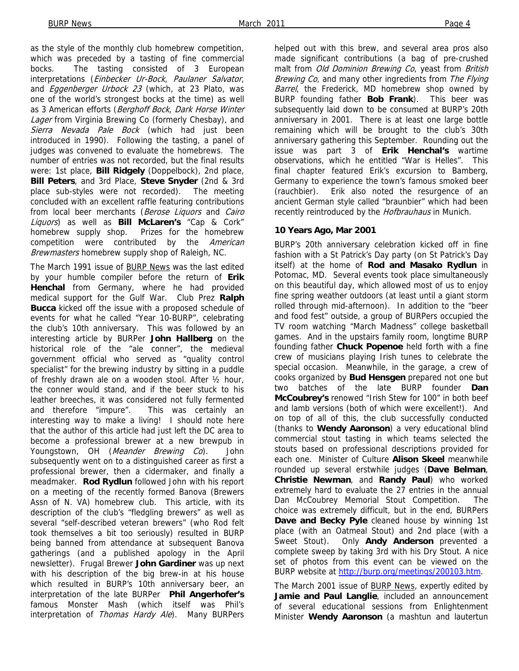as the style of the monthly club homebrew competition, which was preceded by a tasting of fine commercial bocks. The tasting consisted of 3 European interpretations (Einbecker Ur-Bock, Paulaner Salvator, and Eggenberger Urbock 23 (which, at 23 Plato, was one of the world's strongest bocks at the time) as well as 3 American efforts (Berghoff Bock, Dark Horse Winter Lager from Virginia Brewing Co (formerly Chesbay), and Sierra Nevada Pale Bock (which had just been introduced in 1990). Following the tasting, a panel of judges was convened to evaluate the homebrews. The number of entries was not recorded, but the final results were: 1st place, **Bill Ridgely** (Doppelbock), 2nd place, **Bill Peters**, and 3rd Place, **Steve Snyder** (2nd & 3rd place sub-styles were not recorded). The meeting concluded with an excellent raffle featuring contributions from local beer merchants (Berose Liquors and Cairo Liquors) as well as **Bill McLaren's** "Cap & Cork" homebrew supply shop. Prizes for the homebrew competition were contributed by the American Brewmasters homebrew supply shop of Raleigh, NC.

The March 1991 issue of BURP News was the last edited by your humble compiler before the return of **Erik Henchal** from Germany, where he had provided medical support for the Gulf War. Club Prez **Ralph Bucca** kicked off the issue with a proposed schedule of events for what he called "Year 10-BURP", celebrating the club's 10th anniversary. This was followed by an interesting article by BURPer **John Hallberg** on the historical role of the "ale conner", the medieval government official who served as "quality control specialist" for the brewing industry by sitting in a puddle of freshly drawn ale on a wooden stool. After ½ hour, the conner would stand, and if the beer stuck to his leather breeches, it was considered not fully fermented and therefore "impure". This was certainly an interesting way to make a living! I should note here that the author of this article had just left the DC area to become a professional brewer at a new brewpub in Youngstown, OH (Meander Brewing Co). John subsequently went on to a distinguished career as first a professional brewer, then a cidermaker, and finally a meadmaker. **Rod Rydlun** followed John with his report on a meeting of the recently formed Banova (Brewers Assn of N. VA) homebrew club. This article, with its description of the club's "fledgling brewers" as well as several "self-described veteran brewers" (who Rod felt took themselves a bit too seriously) resulted in BURP being banned from attendance at subsequent Banova gatherings (and a published apology in the April newsletter). Frugal Brewer **John Gardiner** was up next with his description of the big brew-in at his house which resulted in BURP's 10th anniversary beer, an interpretation of the late BURPer **Phil Angerhofer's**  famous Monster Mash (which itself was Phil's interpretation of Thomas Hardy Ale). Many BURPers

helped out with this brew, and several area pros also made significant contributions (a bag of pre-crushed malt from Old Dominion Brewing Co, yeast from British Brewing Co, and many other ingredients from The Flying Barrel, the Frederick, MD homebrew shop owned by BURP founding father **Bob Frank**). This beer was subsequently laid down to be consumed at BURP's 20th anniversary in 2001. There is at least one large bottle remaining which will be brought to the club's 30th anniversary gathering this September. Rounding out the issue was part 3 of **Erik Henchal's** wartime observations, which he entitled "War is Helles". This final chapter featured Erik's excursion to Bamberg, Germany to experience the town's famous smoked beer (rauchbier). Erik also noted the resurgence of an ancient German style called "braunbier" which had been recently reintroduced by the Hofbrauhaus in Munich.

#### **10 Years Ago, Mar 2001**

BURP's 20th anniversary celebration kicked off in fine fashion with a St Patrick's Day party (on St Patrick's Day itself) at the home of **Rod and Masako Rydlun** in Potomac, MD. Several events took place simultaneously on this beautiful day, which allowed most of us to enjoy fine spring weather outdoors (at least until a giant storm rolled through mid-afternoon). In addition to the "beer and food fest" outside, a group of BURPers occupied the TV room watching "March Madness" college basketball games. And in the upstairs family room, longtime BURP founding father **Chuck Popenoe** held forth with a fine crew of musicians playing Irish tunes to celebrate the special occasion. Meanwhile, in the garage, a crew of cooks organized by **Bud Hensgen** prepared not one but two batches of the late BURP founder **Dan McCoubrey's** renowed "Irish Stew for 100" in both beef and lamb versions (both of which were excellent!). And on top of all of this, the club successfully conducted (thanks to **Wendy Aaronson**) a very educational blind commercial stout tasting in which teams selected the stouts based on professional descriptions provided for each one. Minister of Culture **Alison Skeel** meanwhile rounded up several erstwhile judges (**Dave Belman**, **Christie Newman**, and **Randy Paul**) who worked extremely hard to evaluate the 27 entries in the annual Dan McCoubrey Memorial Stout Competition. The choice was extremely difficult, but in the end, BURPers **Dave and Becky Pyle** cleaned house by winning 1st place (with an Oatmeal Stout) and 2nd place (with a Sweet Stout). Only **Andy Anderson** prevented a complete sweep by taking 3rd with his Dry Stout. A nice set of photos from this event can be viewed on the BURP website at http://burp.org/meetings/200103.htm.

The March 2001 issue of BURP News, expertly edited by **Jamie and Paul Langlie**, included an announcement of several educational sessions from Enlightenment Minister **Wendy Aaronson** (a mashtun and lautertun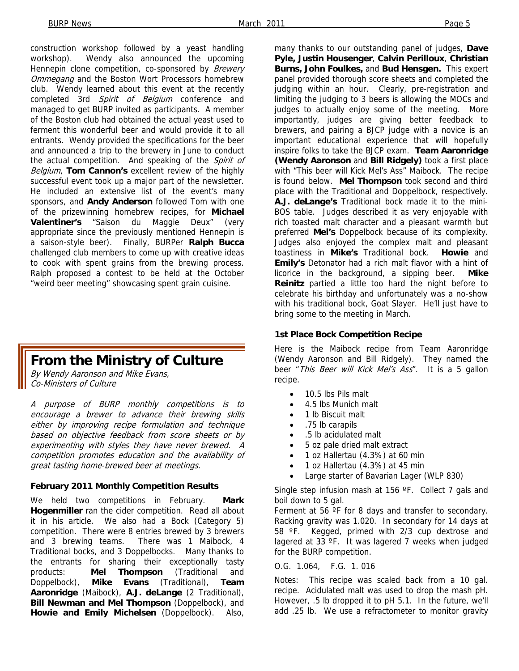construction workshop followed by a yeast handling workshop). Wendy also announced the upcoming Hennepin clone competition, co-sponsored by Brewery Ommegang and the Boston Wort Processors homebrew club. Wendy learned about this event at the recently completed 3rd Spirit of Belgium conference and managed to get BURP invited as participants. A member of the Boston club had obtained the actual yeast used to ferment this wonderful beer and would provide it to all entrants. Wendy provided the specifications for the beer and announced a trip to the brewery in June to conduct the actual competition. And speaking of the Spirit of Belgium, **Tom Cannon's** excellent review of the highly successful event took up a major part of the newsletter. He included an extensive list of the event's many sponsors, and **Andy Anderson** followed Tom with one of the prizewinning homebrew recipes, for **Michael Valentiner's** "Saison du Maggie Deux" (very appropriate since the previously mentioned Hennepin is a saison-style beer). Finally, BURPer **Ralph Bucca**  challenged club members to come up with creative ideas to cook with spent grains from the brewing process. Ralph proposed a contest to be held at the October "weird beer meeting" showcasing spent grain cuisine.

## **From the Ministry of Culture**

By Wendy Aaronson and Mike Evans, Co-Ministers of Culture

A purpose of BURP monthly competitions is to encourage a brewer to advance their brewing skills either by improving recipe formulation and technique based on objective feedback from score sheets or by experimenting with styles they have never brewed. A competition promotes education and the availability of great tasting home-brewed beer at meetings.

#### **February 2011 Monthly Competition Results**

We held two competitions in February. **Mark Hogenmiller** ran the cider competition. Read all about it in his article. We also had a Bock (Category 5) competition. There were 8 entries brewed by 3 brewers and 3 brewing teams. There was 1 Maibock, 4 Traditional bocks, and 3 Doppelbocks. Many thanks to the entrants for sharing their exceptionally tasty products: **Mel Thompson** (Traditional and Doppelbock), **Mike Evans** (Traditional), **Team Aaronridge** (Maibock), **A.J. deLange** (2 Traditional), **Bill Newman and Mel Thompson** (Doppelbock), and **Howie and Emily Michelsen** (Doppelbock). Also,

many thanks to our outstanding panel of judges, **Dave Pyle, Justin Housenger**, **Calvin Perilloux**, **Christian Burns, John Foulkes,** and **Bud Hensgen.** This expert panel provided thorough score sheets and completed the judging within an hour. Clearly, pre-registration and limiting the judging to 3 beers is allowing the MOCs and judges to actually enjoy some of the meeting. More importantly, judges are giving better feedback to brewers, and pairing a BJCP judge with a novice is an important educational experience that will hopefully inspire folks to take the BJCP exam. **Team Aaronridge (Wendy Aaronson** and **Bill Ridgely)** took a first place with "This beer will Kick Mel's Ass" Maibock. The recipe is found below. **Mel Thompson** took second and third place with the Traditional and Doppelbock, respectively. **A.J. deLange's** Traditional bock made it to the mini-BOS table. Judges described it as very enjoyable with rich toasted malt character and a pleasant warmth but preferred **Mel's** Doppelbock because of its complexity. Judges also enjoyed the complex malt and pleasant toastiness in **Mike's** Traditional bock. **Howie** and **Emily's** Detonator had a rich malt flavor with a hint of licorice in the background, a sipping beer. **Mike Reinitz** partied a little too hard the night before to celebrate his birthday and unfortunately was a no-show with his traditional bock, Goat Slayer. He'll just have to bring some to the meeting in March.

#### **1st Place Bock Competition Recipe**

Here is the Maibock recipe from Team Aaronridge (Wendy Aaronson and Bill Ridgely). They named the beer "This Beer will Kick Mel's Ass". It is a 5 gallon recipe.

- 10.5 lbs Pils malt
- 4.5 lbs Munich malt
- 1 lb Biscuit malt
- .75 lb carapils
- .5 lb acidulated malt
- 5 oz pale dried malt extract
- 1 oz Hallertau (4.3%) at 60 min
- 1 oz Hallertau (4.3%) at 45 min
- Large starter of Bavarian Lager (WLP 830)

Single step infusion mash at 156 °F. Collect 7 gals and boil down to 5 gal.

Ferment at 56 °F for 8 days and transfer to secondary. Racking gravity was 1.020. In secondary for 14 days at 58 ºF. Kegged, primed with 2/3 cup dextrose and lagered at 33 ºF. It was lagered 7 weeks when judged for the BURP competition.

#### O.G. 1.064, F.G. 1. 016

Notes: This recipe was scaled back from a 10 gal. recipe. Acidulated malt was used to drop the mash pH. However, .5 lb dropped it to pH 5.1. In the future, we'll add .25 lb. We use a refractometer to monitor gravity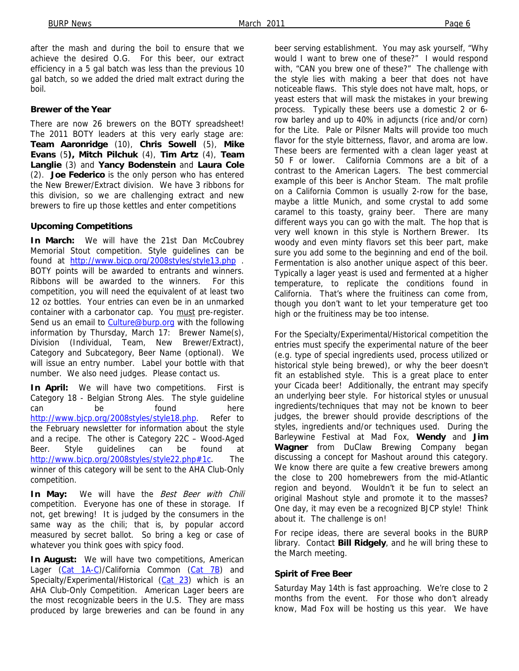after the mash and during the boil to ensure that we achieve the desired O.G. For this beer, our extract efficiency in a 5 gal batch was less than the previous 10 gal batch, so we added the dried malt extract during the boil.

#### **Brewer of the Year**

There are now 26 brewers on the BOTY spreadsheet! The 2011 BOTY leaders at this very early stage are: **Team Aaronridge** (10), **Chris Sowell** (5), **Mike Evans** (5**), Mitch Pilchuk** (4), **Tim Artz** (4), **Team Langlie** (3) and **Yancy Bodenstein** and **Laura Cole** (2). **Joe Federico** is the only person who has entered the New Brewer/Extract division. We have 3 ribbons for this division, so we are challenging extract and new brewers to fire up those kettles and enter competitions

#### **Upcoming Competitions**

**In March:** We will have the 21st Dan McCoubrey Memorial Stout competition. Style guidelines can be found at http://www.bjcp.org/2008styles/style13.php . BOTY points will be awarded to entrants and winners. Ribbons will be awarded to the winners. For this competition, you will need the equivalent of at least two 12 oz bottles. Your entries can even be in an unmarked container with a carbonator cap. You must pre-register. Send us an email to Culture@burp.org with the following information by Thursday, March 17: Brewer Name(s), Division (Individual, Team, New Brewer/Extract), Category and Subcategory, Beer Name (optional). We will issue an entry number. Label your bottle with that number. We also need judges. Please contact us.

**In April:** We will have two competitions. First is Category 18 - Belgian Strong Ales. The style guideline can be found here http://www.bjcp.org/2008styles/style18.php. Refer to the February newsletter for information about the style and a recipe. The other is Category 22C – Wood-Aged Beer. Style guidelines can be found at http://www.bjcp.org/2008styles/style22.php#1c. The winner of this category will be sent to the AHA Club-Only competition.

In May: We will have the Best Beer with Chili competition. Everyone has one of these in storage. If not, get brewing! It is judged by the consumers in the same way as the chili; that is, by popular accord measured by secret ballot. So bring a keg or case of whatever you think goes with spicy food.

**In August:** We will have two competitions, American Lager (Cat 1A-C)/California Common (Cat 7B) and Specialty/Experimental/Historical (Cat 23) which is an AHA Club-Only Competition. American Lager beers are the most recognizable beers in the U.S. They are mass produced by large breweries and can be found in any

beer serving establishment. You may ask yourself, "Why would I want to brew one of these?" I would respond with, "CAN you brew one of these?" The challenge with the style lies with making a beer that does not have noticeable flaws. This style does not have malt, hops, or yeast esters that will mask the mistakes in your brewing process. Typically these beers use a domestic 2 or 6 row barley and up to 40% in adjuncts (rice and/or corn) for the Lite. Pale or Pilsner Malts will provide too much flavor for the style bitterness, flavor, and aroma are low. These beers are fermented with a clean lager yeast at 50 F or lower. California Commons are a bit of a contrast to the American Lagers. The best commercial example of this beer is Anchor Steam. The malt profile on a California Common is usually 2-row for the base, maybe a little Munich, and some crystal to add some caramel to this toasty, grainy beer. There are many different ways you can go with the malt. The hop that is very well known in this style is Northern Brewer. Its woody and even minty flavors set this beer part, make sure you add some to the beginning and end of the boil. Fermentation is also another unique aspect of this beer. Typically a lager yeast is used and fermented at a higher temperature, to replicate the conditions found in California. That's where the fruitiness can come from, though you don't want to let your temperature get too high or the fruitiness may be too intense.

For the Specialty/Experimental/Historical competition the entries must specify the experimental nature of the beer (e.g. type of special ingredients used, process utilized or historical style being brewed), or why the beer doesn't fit an established style. This is a great place to enter your Cicada beer! Additionally, the entrant may specify an underlying beer style. For historical styles or unusual ingredients/techniques that may not be known to beer judges, the brewer should provide descriptions of the styles, ingredients and/or techniques used. During the Barleywine Festival at Mad Fox, **Wendy** and **Jim Wagner** from DuClaw Brewing Company began discussing a concept for Mashout around this category. We know there are quite a few creative brewers among the close to 200 homebrewers from the mid-Atlantic region and beyond. Wouldn't it be fun to select an original Mashout style and promote it to the masses? One day, it may even be a recognized BJCP style! Think about it. The challenge is on!

For recipe ideas, there are several books in the BURP library. Contact **Bill Ridgely**, and he will bring these to the March meeting.

#### **Spirit of Free Beer**

Saturday May 14th is fast approaching. We're close to 2 months from the event. For those who don't already know, Mad Fox will be hosting us this year. We have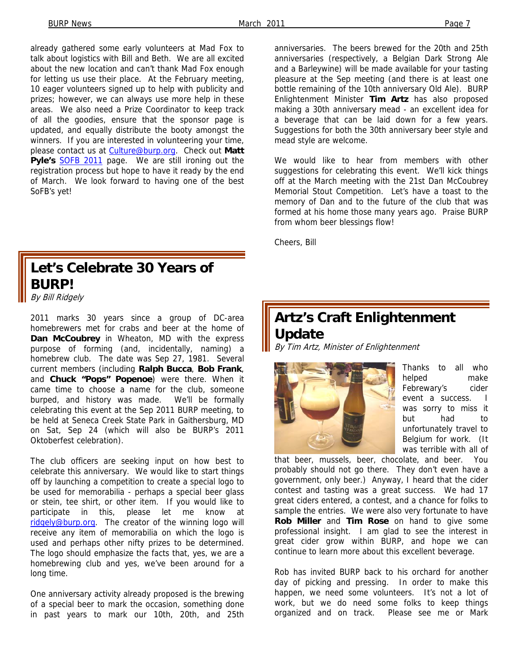already gathered some early volunteers at Mad Fox to talk about logistics with Bill and Beth. We are all excited about the new location and can't thank Mad Fox enough for letting us use their place. At the February meeting, 10 eager volunteers signed up to help with publicity and prizes; however, we can always use more help in these areas. We also need a Prize Coordinator to keep track of all the goodies, ensure that the sponsor page is updated, and equally distribute the booty amongst the winners. If you are interested in volunteering your time, please contact us at Culture@burp.org. Check out **Matt**  Pyle's **SOFB 2011** page. We are still ironing out the registration process but hope to have it ready by the end of March. We look forward to having one of the best SoFB's yet!

#### anniversaries. The beers brewed for the 20th and 25th anniversaries (respectively, a Belgian Dark Strong Ale and a Barleywine) will be made available for your tasting pleasure at the Sep meeting (and there is at least one bottle remaining of the 10th anniversary Old Ale). BURP Enlightenment Minister **Tim Artz** has also proposed making a 30th anniversary mead - an excellent idea for a beverage that can be laid down for a few years. Suggestions for both the 30th anniversary beer style and mead style are welcome.

We would like to hear from members with other suggestions for celebrating this event. We'll kick things off at the March meeting with the 21st Dan McCoubrey Memorial Stout Competition. Let's have a toast to the memory of Dan and to the future of the club that was formed at his home those many years ago. Praise BURP from whom beer blessings flow!

Cheers, Bill

# **Let's Celebrate 30 Years of BURP!**

By Bill Ridgely

2011 marks 30 years since a group of DC-area homebrewers met for crabs and beer at the home of **Dan McCoubrey** in Wheaton, MD with the express purpose of forming (and, incidentally, naming) a homebrew club. The date was Sep 27, 1981. Several current members (including **Ralph Bucca**, **Bob Frank**, and **Chuck "Pops" Popenoe**) were there. When it came time to choose a name for the club, someone burped, and history was made. We'll be formally celebrating this event at the Sep 2011 BURP meeting, to be held at Seneca Creek State Park in Gaithersburg, MD on Sat, Sep 24 (which will also be BURP's 2011 Oktoberfest celebration).

The club officers are seeking input on how best to celebrate this anniversary. We would like to start things off by launching a competition to create a special logo to be used for memorabilia - perhaps a special beer glass or stein, tee shirt, or other item. If you would like to participate in this, please let me know at ridgely@burp.org. The creator of the winning logo will receive any item of memorabilia on which the logo is used and perhaps other nifty prizes to be determined. The logo should emphasize the facts that, yes, we are a homebrewing club and yes, we've been around for a long time.

One anniversary activity already proposed is the brewing of a special beer to mark the occasion, something done in past years to mark our 10th, 20th, and 25th

# **Artz's Craft Enlightenment Update**

By Tim Artz, Minister of Enlightenment



Thanks to all who helped make Febrewary's cider event a success. I was sorry to miss it but had to unfortunately travel to Belgium for work. (It was terrible with all of

that beer, mussels, beer, chocolate, and beer. You probably should not go there. They don't even have a government, only beer.) Anyway, I heard that the cider contest and tasting was a great success. We had 17 great ciders entered, a contest, and a chance for folks to sample the entries. We were also very fortunate to have **Rob Miller** and **Tim Rose** on hand to give some professional insight. I am glad to see the interest in great cider grow within BURP, and hope we can continue to learn more about this excellent beverage.

Rob has invited BURP back to his orchard for another day of picking and pressing. In order to make this happen, we need some volunteers. It's not a lot of work, but we do need some folks to keep things organized and on track. Please see me or Mark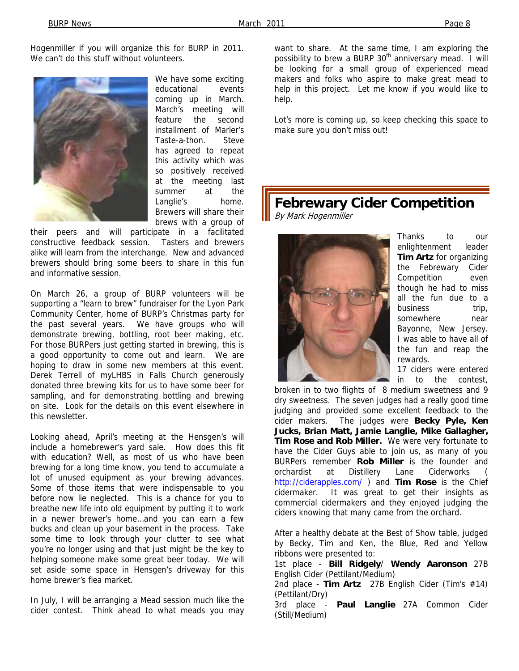Hogenmiller if you will organize this for BURP in 2011. We can't do this stuff without volunteers.



We have some exciting educational events coming up in March. March's meeting will feature the second installment of Marler's Taste-a-thon. Steve has agreed to repeat this activity which was so positively received at the meeting last summer at the Langlie's home. Brewers will share their brews with a group of

their peers and will participate in a facilitated constructive feedback session. Tasters and brewers alike will learn from the interchange. New and advanced brewers should bring some beers to share in this fun and informative session.

On March 26, a group of BURP volunteers will be supporting a "learn to brew" fundraiser for the Lyon Park Community Center, home of BURP's Christmas party for the past several years. We have groups who will demonstrate brewing, bottling, root beer making, etc. For those BURPers just getting started in brewing, this is a good opportunity to come out and learn. We are hoping to draw in some new members at this event. Derek Terrell of myLHBS in Falls Church generously donated three brewing kits for us to have some beer for sampling, and for demonstrating bottling and brewing on site. Look for the details on this event elsewhere in this newsletter.

Looking ahead, April's meeting at the Hensgen's will include a homebrewer's yard sale. How does this fit with education? Well, as most of us who have been brewing for a long time know, you tend to accumulate a lot of unused equipment as your brewing advances. Some of those items that were indispensable to you before now lie neglected. This is a chance for you to breathe new life into old equipment by putting it to work in a newer brewer's home…and you can earn a few bucks and clean up your basement in the process. Take some time to look through your clutter to see what you're no longer using and that just might be the key to helping someone make some great beer today. We will set aside some space in Hensgen's driveway for this home brewer's flea market.

In July, I will be arranging a Mead session much like the cider contest. Think ahead to what meads you may

want to share. At the same time, I am exploring the possibility to brew a BURP 30<sup>th</sup> anniversary mead. I will be looking for a small group of experienced mead makers and folks who aspire to make great mead to help in this project. Let me know if you would like to help.

Lot's more is coming up, so keep checking this space to make sure you don't miss out!

# **Febrewary Cider Competition**

By Mark Hogenmiller



Thanks to our enlightenment leader **Tim Artz** for organizing the Febrewary Cider Competition even though he had to miss all the fun due to a business trip, somewhere near Bayonne, New Jersey. I was able to have all of the fun and reap the rewards.

17 ciders were entered in to the contest

broken in to two flights of 8 medium sweetness and 9 dry sweetness. The seven judges had a really good time judging and provided some excellent feedback to the cider makers. The judges were **Becky Pyle, Ken Jucks, Brian Matt, Jamie Langlie, Mike Gallagher, Tim Rose and Rob Miller.** We were very fortunate to have the Cider Guys able to join us, as many of you BURPers remember **Rob Miller** is the founder and orchardist at Distillery Lane Ciderworks ( http://ciderapples.com/ ) and **Tim Rose** is the Chief cidermaker. It was great to get their insights as commercial cidermakers and they enjoyed judging the ciders knowing that many came from the orchard.

After a healthy debate at the Best of Show table, judged by Becky, Tim and Ken, the Blue, Red and Yellow ribbons were presented to:

1st place - **Bill Ridgely**/ **Wendy Aaronson** 27B English Cider (Pettilant/Medium)

2nd place - **Tim Artz** 27B English Cider (Tim's #14) (Pettilant/Dry)

3rd place - **Paul Langlie** 27A Common Cider (Still/Medium)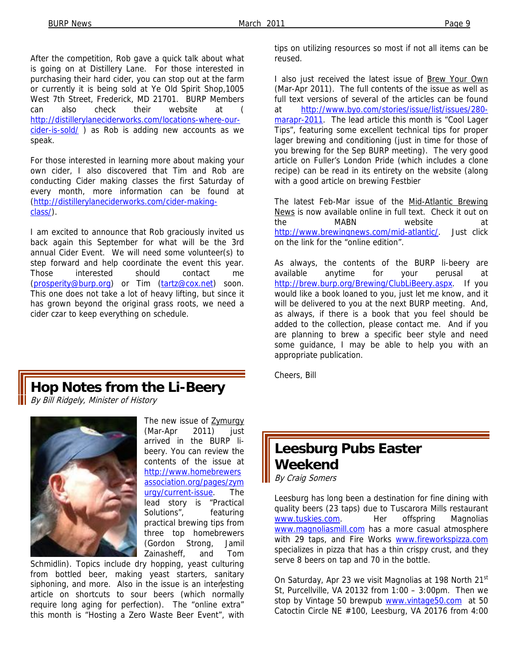After the competition, Rob gave a quick talk about what is going on at Distillery Lane. For those interested in purchasing their hard cider, you can stop out at the farm or currently it is being sold at Ye Old Spirit Shop,1005 West 7th Street, Frederick, MD 21701. BURP Members can also check their website at http://distillerylaneciderworks.com/locations-where-ourcider-is-sold/) as Rob is adding new accounts as we speak.

For those interested in learning more about making your own cider, I also discovered that Tim and Rob are conducting Cider making classes the first Saturday of every month, more information can be found at (http://distillerylaneciderworks.com/cider-makingclass/).

I am excited to announce that Rob graciously invited us back again this September for what will be the 3rd annual Cider Event. We will need some volunteer(s) to step forward and help coordinate the event this year. Those interested should contact me (prosperity@burp.org) or Tim (tartz@cox.net) soon. This one does not take a lot of heavy lifting, but since it has grown beyond the original grass roots, we need a cider czar to keep everything on schedule.

**Hop Notes from the Li-Beery** 

By Bill Ridgely, Minister of History



The new issue of Zymurgy (Mar-Apr 2011) just arrived in the BURP libeery. You can review the contents of the issue at http://www.homebrewers association.org/pages/zym urgy/current-issue. The lead story is "Practical Solutions", featuring practical brewing tips from three top homebrewers (Gordon Strong, Jamil Zainasheff, and Tom

Schmidlin). Topics include dry hopping, yeast culturing from bottled beer, making yeast starters, sanitary siphoning, and more. Also in the issue is an interesting article on shortcuts to sour beers (which normally require long aging for perfection). The "online extra" this month is "Hosting a Zero Waste Beer Event", with

tips on utilizing resources so most if not all items can be reused.

I also just received the latest issue of Brew Your Own (Mar-Apr 2011). The full contents of the issue as well as full text versions of several of the articles can be found at http://www.byo.com/stories/issue/list/issues/280 marapr-2011. The lead article this month is "Cool Lager Tips", featuring some excellent technical tips for proper lager brewing and conditioning (just in time for those of you brewing for the Sep BURP meeting). The very good article on Fuller's London Pride (which includes a clone recipe) can be read in its entirety on the website (along with a good article on brewing Festbier

The latest Feb-Mar issue of the Mid-Atlantic Brewing News is now available online in full text. Check it out on the MABN website at http://www.brewingnews.com/mid-atlantic/. Just click on the link for the "online edition".

As always, the contents of the BURP li-beery are available anytime for your perusal at http://brew.burp.org/Brewing/ClubLiBeery.aspx. If you would like a book loaned to you, just let me know, and it will be delivered to you at the next BURP meeting. And, as always, if there is a book that you feel should be added to the collection, please contact me. And if you are planning to brew a specific beer style and need some guidance, I may be able to help you with an appropriate publication.

Cheers, Bill

### **Leesburg Pubs Easter Weekend**  By Craig Somers

Leesburg has long been a destination for fine dining with quality beers (23 taps) due to Tuscarora Mills restaurant www.tuskies.com. Her offspring Magnolias www.magnoliasmill.com has a more casual atmosphere with 29 taps, and Fire Works **www.fireworkspizza.com** specializes in pizza that has a thin crispy crust, and they serve 8 beers on tap and 70 in the bottle.

On Saturday, Apr 23 we visit Magnolias at 198 North 21<sup>st</sup> St, Purcellville, VA 20132 from 1:00 – 3:00pm. Then we stop by Vintage 50 brewpub www.vintage50.com at 50 Catoctin Circle NE #100, Leesburg, VA 20176 from 4:00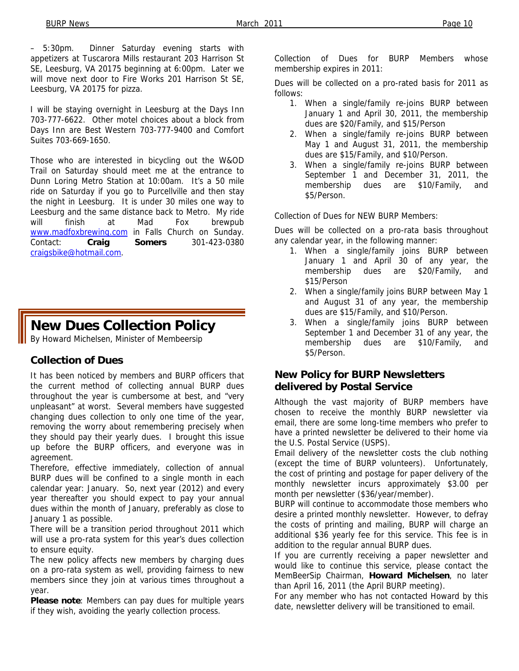– 5:30pm. Dinner Saturday evening starts with appetizers at Tuscarora Mills restaurant 203 Harrison St SE, Leesburg, VA 20175 beginning at 6:00pm. Later we will move next door to Fire Works 201 Harrison St SE, Leesburg, VA 20175 for pizza.

I will be staying overnight in Leesburg at the Days Inn 703-777-6622. Other motel choices about a block from Days Inn are Best Western 703-777-9400 and Comfort Suites 703-669-1650.

Those who are interested in bicycling out the W&OD Trail on Saturday should meet me at the entrance to Dunn Loring Metro Station at 10:00am. It's a 50 mile ride on Saturday if you go to Purcellville and then stay the night in Leesburg. It is under 30 miles one way to Leesburg and the same distance back to Metro. My ride will finish at Mad Fox brewpub www.madfoxbrewing.com in Falls Church on Sunday. Contact: **Craig Somers** 301-423-0380 craigsbike@hotmail.com.

## **New Dues Collection Policy**

By Howard Michelsen, Minister of Membeersip

#### **Collection of Dues**

It has been noticed by members and BURP officers that the current method of collecting annual BURP dues throughout the year is cumbersome at best, and "very unpleasant" at worst. Several members have suggested changing dues collection to only one time of the year, removing the worry about remembering precisely when they should pay their yearly dues. I brought this issue up before the BURP officers, and everyone was in agreement.

Therefore, effective immediately, collection of annual BURP dues will be confined to a single month in each calendar year: January. So, next year (2012) and every year thereafter you should expect to pay your annual dues within the month of January, preferably as close to January 1 as possible.

There will be a transition period throughout 2011 which will use a pro-rata system for this year's dues collection to ensure equity.

The new policy affects new members by charging dues on a pro-rata system as well, providing fairness to new members since they join at various times throughout a year.

**Please note**: Members can pay dues for multiple years if they wish, avoiding the yearly collection process.

Collection of Dues for BURP Members whose membership expires in 2011:

Dues will be collected on a pro-rated basis for 2011 as follows:

- 1. When a single/family re-joins BURP between January 1 and April 30, 2011, the membership dues are \$20/Family, and \$15/Person
- 2. When a single/family re-joins BURP between May 1 and August 31, 2011, the membership dues are \$15/Family, and \$10/Person.
- 3. When a single/family re-joins BURP between September 1 and December 31, 2011, the membership dues are \$10/Family, and \$5/Person.

Collection of Dues for NEW BURP Members:

Dues will be collected on a pro-rata basis throughout any calendar year, in the following manner:

- 1. When a single/family joins BURP between January 1 and April 30 of any year, the membership dues are \$20/Family, and \$15/Person
- 2. When a single/family joins BURP between May 1 and August 31 of any year, the membership dues are \$15/Family, and \$10/Person.
- 3. When a single/family joins BURP between September 1 and December 31 of any year, the membership dues are \$10/Family, and \$5/Person.

#### **New Policy for BURP Newsletters delivered by Postal Service**

Although the vast majority of BURP members have chosen to receive the monthly BURP newsletter via email, there are some long-time members who prefer to have a printed newsletter be delivered to their home via the U.S. Postal Service (USPS).

Email delivery of the newsletter costs the club nothing (except the time of BURP volunteers). Unfortunately, the cost of printing and postage for paper delivery of the monthly newsletter incurs approximately \$3.00 per month per newsletter (\$36/year/member).

BURP will continue to accommodate those members who desire a printed monthly newsletter. However, to defray the costs of printing and mailing, BURP will charge an additional \$36 yearly fee for this service. This fee is in addition to the regular annual BURP dues.

If you are currently receiving a paper newsletter and would like to continue this service, please contact the MemBeerSip Chairman, **Howard Michelsen**, no later than April 16, 2011 (the April BURP meeting).

For any member who has not contacted Howard by this date, newsletter delivery will be transitioned to email.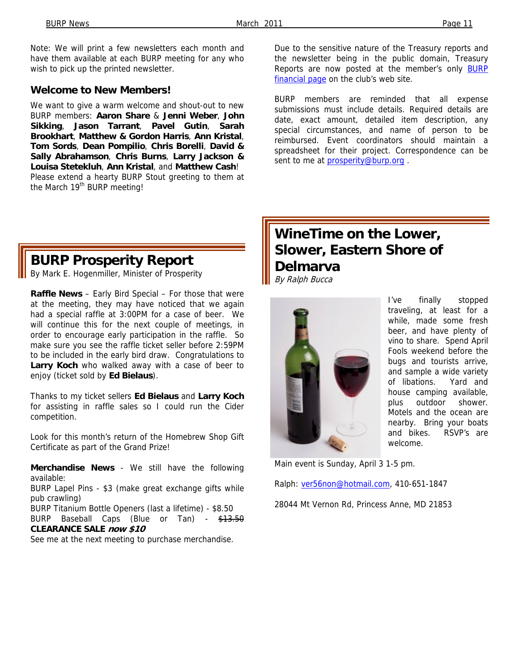Note: We will print a few newsletters each month and have them available at each BURP meeting for any who wish to pick up the printed newsletter.

#### **Welcome to New Members!**

We want to give a warm welcome and shout-out to new BURP members: **Aaron Share** & **Jenni Weber**, **John Sikking**, **Jason Tarrant**, **Pavel Gutin**, **Sarah Brookhart**, **Matthew & Gordon Harris**, **Ann Kristal**, **Tom Sords**, **Dean Pompilio**, **Chris Borelli**, **David & Sally Abrahamson**, **Chris Burns**, **Larry Jackson & Louisa Stetekluh**, **Ann Kristal**, and **Matthew Cash**! Please extend a hearty BURP Stout greeting to them at the March 19<sup>th</sup> BURP meeting!

**BURP Prosperity Report** 

By Mark E. Hogenmiller, Minister of Prosperity

**Raffle News** – Early Bird Special – For those that were at the meeting, they may have noticed that we again had a special raffle at 3:00PM for a case of beer. We will continue this for the next couple of meetings, in order to encourage early participation in the raffle. So make sure you see the raffle ticket seller before 2:59PM to be included in the early bird draw. Congratulations to **Larry Koch** who walked away with a case of beer to enjoy (ticket sold by **Ed Bielaus**).

Thanks to my ticket sellers **Ed Bielaus** and **Larry Koch** for assisting in raffle sales so I could run the Cider competition.

Look for this month's return of the Homebrew Shop Gift Certificate as part of the Grand Prize!

**Merchandise News** - We still have the following available:

BURP Lapel Pins - \$3 (make great exchange gifts while pub crawling)

BURP Titanium Bottle Openers (last a lifetime) - \$8.50 BURP Baseball Caps (Blue or Tan) - \$13.50 **CLEARANCE SALE now \$10**

See me at the next meeting to purchase merchandise.

Due to the sensitive nature of the Treasury reports and the newsletter being in the public domain, Treasury Reports are now posted at the member's only BURP financial page on the club's web site.

BURP members are reminded that all expense submissions must include details. Required details are date, exact amount, detailed item description, any special circumstances, and name of person to be reimbursed. Event coordinators should maintain a spreadsheet for their project. Correspondence can be sent to me at **prosperity@burp.org**.

# **WineTime on the Lower, Slower, Eastern Shore of Delmarva**

By Ralph Bucca



I've finally stopped traveling, at least for a while, made some fresh beer, and have plenty of vino to share. Spend April Fools weekend before the bugs and tourists arrive, and sample a wide variety of libations. Yard and house camping available, plus outdoor shower. Motels and the ocean are nearby. Bring your boats and bikes. RSVP's are welcome.

Main event is Sunday, April 3 1-5 pm.

Ralph: ver56non@hotmail.com, 410-651-1847

28044 Mt Vernon Rd, Princess Anne, MD 21853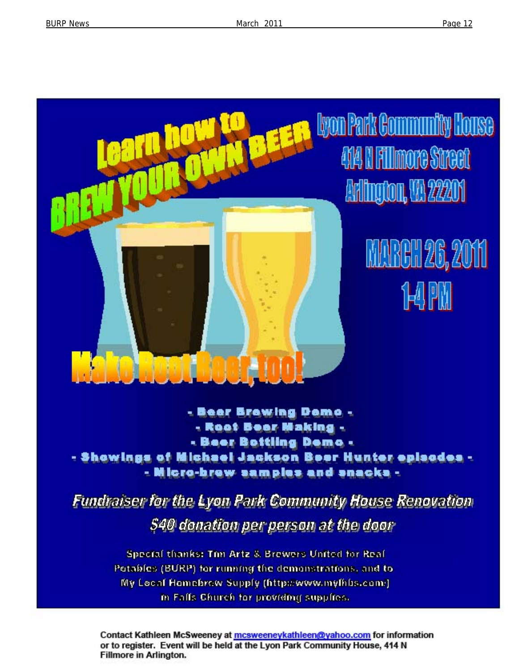

- Beer Browing Domo -- Root Bear Making -- Beer Bottling Demo -- Showings of Michael Jackson Boer Hunter episodes -- Micro-brew samples and snacks -

Fundraiser for the Lyon Park Community House Renovation **S40 donation per person at the door** 

> Special thanks: Tim Artz & Brewers United for Real Petables (BURP) for running the demonstrations, and to My Local Homebrow Supply (http://www.mylhbs.com/) in Falls Church for providing supplies.

Contact Kathleen McSweeney at mcsweeneykathleen@yahoo.com for information or to register. Event will be held at the Lyon Park Community House, 414 N **Fillmore in Arlington.**